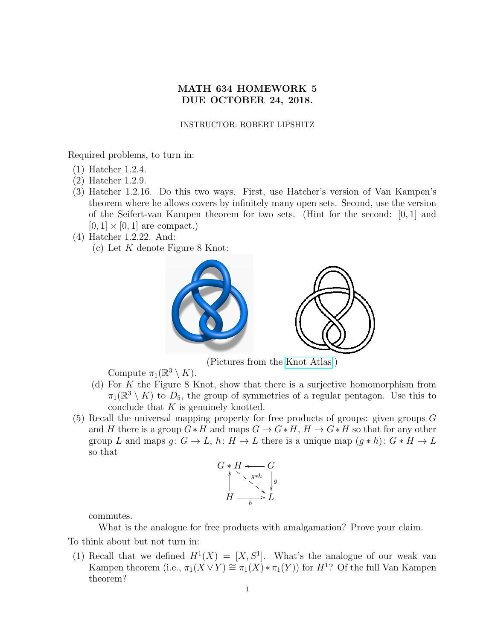## MATH 634 HOMEWORK 5 DUE OCTOBER 24, 2018.

## INSTRUCTOR: ROBERT LIPSHITZ

Required problems, to turn in:

- (1) Hatcher 1.2.4.
- (2) Hatcher 1.2.9.
- (3) Hatcher 1.2.16. Do this two ways. First, use Hatcher's version of Van Kampen's theorem where he allows covers by infinitely many open sets. Second, use the version of the Seifert-van Kampen theorem for two sets. (Hint for the second: [0, 1] and  $[0, 1] \times [0, 1]$  are compact.)
- (4) Hatcher 1.2.22. And: (c) Let  $K$  denote Figure 8 Knot:



(Pictures from the [Knot Atlas.](http://katlas.org))

Compute  $\pi_1(\mathbb{R}^3 \setminus K)$ .

- (d) For K the Figure 8 Knot, show that there is a surjective homomorphism from  $\pi_1(\mathbb{R}^3 \setminus K)$  to  $D_5$ , the group of symmetries of a regular pentagon. Use this to conclude that  $K$  is genuinely knotted.
- <span id="page-0-0"></span>(5) Recall the universal mapping property for free products of groups: given groups G and H there is a group  $G * H$  and maps  $G \to G * H$ ,  $H \to G * H$  so that for any other group L and maps  $g: G \to L$ ,  $h: H \to L$  there is a unique map  $(g * h): G * H \to L$ so that

$$
G * H \xrightarrow{\qquad \qquad } G
$$
\n
$$
\uparrow^{\qquad \qquad \searrow} g * h
$$
\n
$$
H \xrightarrow{\qquad \qquad \searrow} L
$$

commutes.

What is the analogue for free products with amalgamation? Prove your claim.

To think about but not turn in:

(1) Recall that we defined  $H^1(X) = [X, S^1]$ . What's the analogue of our weak van Kampen theorem (i.e.,  $\pi_1(X \vee Y) \cong \pi_1(X) * \pi_1(Y)$ ) for  $H^1$ ? Of the full Van Kampen theorem?